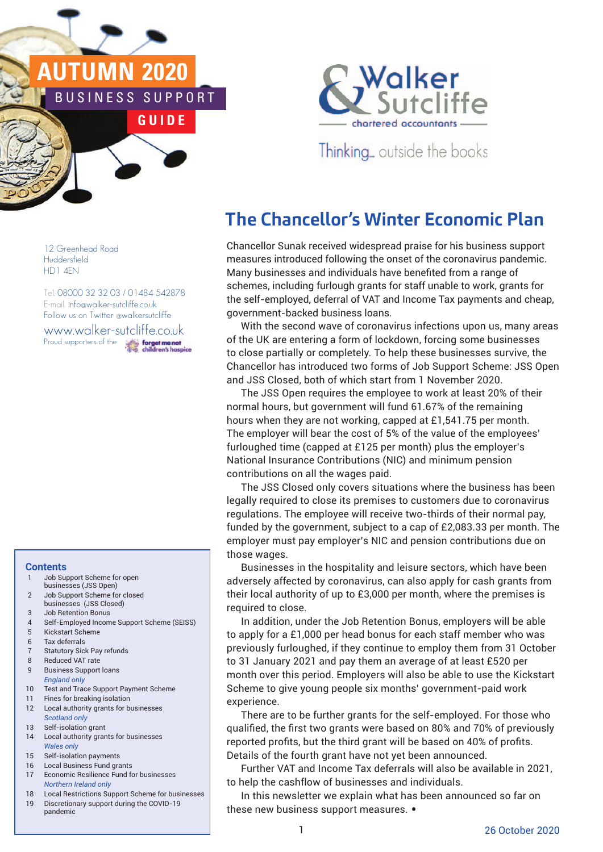# **AUTUMN 2020** NESS SUPPORT

**G U I D E**



Thinking... outside the books

# **The Chancellor's Winter Economic Plan**

Chancellor Sunak received widespread praise for his business support measures introduced following the onset of the coronavirus pandemic. Many businesses and individuals have benefited from a range of schemes, including furlough grants for staff unable to work, grants for the self-employed, deferral of VAT and Income Tax payments and cheap, government-backed business loans.

With the second wave of coronavirus infections upon us, many areas of the UK are entering a form of lockdown, forcing some businesses to close partially or completely. To help these businesses survive, the Chancellor has introduced two forms of Job Support Scheme: JSS Open and JSS Closed, both of which start from 1 November 2020.

The JSS Open requires the employee to work at least 20% of their normal hours, but government will fund 61.67% of the remaining hours when they are not working, capped at £1,541.75 per month. The employer will bear the cost of 5% of the value of the employees' furloughed time (capped at £125 per month) plus the employer's National Insurance Contributions (NIC) and minimum pension contributions on all the wages paid.

> The JSS Closed only covers situations where the business has been legally required to close its premises to customers due to coronavirus regulations. The employee will receive two-thirds of their normal pay, funded by the government, subject to a cap of £2,083.33 per month. The employer must pay employer's NIC and pension contributions due on those wages.

Businesses in the hospitality and leisure sectors, which have been adversely affected by coronavirus, can also apply for cash grants from their local authority of up to £3,000 per month, where the premises is required to close.

In addition, under the Job Retention Bonus, employers will be able to apply for a £1,000 per head bonus for each staff member who was previously furloughed, if they continue to employ them from 31 October to 31 January 2021 and pay them an average of at least £520 per month over this period. Employers will also be able to use the Kickstart Scheme to give young people six months' government-paid work experience.

There are to be further grants for the self-employed. For those who qualified, the first two grants were based on 80% and 70% of previously reported profits, but the third grant will be based on 40% of profits. Details of the fourth grant have not yet been announced.

Further VAT and Income Tax deferrals will also be available in 2021, to help the cashflow of businesses and individuals.

In this newsletter we explain what has been announced so far on these new business support measures. •

12 Greenhead Road **Huddersfield** HD1 4EN

Tel. 08000 32 32 03 / 01484 542878 E-mail. info@walker-sutcliffe.co.uk Follow us on Twitter @walkersutcliffe www.walker-sutcliffe.co.uk<br>Proud supporters of the Proud supporters of the

#### **Contents**

- 1 Job Support Scheme for open businesses (JSS Open)
- 2 Job Support Scheme for closed
- businesses (JSS Closed) 3 Job Retention Bonus
- 4 Self-Employed Income Support Scheme (SEISS)
- 5 Kickstart Scheme
- 6 Tax deferrals
- 7 Statutory Sick Pay refunds
- 8 Reduced VAT rate 9 Business Support loans
- *England only*
- 10 Test and Trace Support Payment Scheme 11 Fines for breaking isolation
- 12 Local authority grants for businesses
- *Scotland only* 13 Self-isolation grant
- 14 Local authority grants for businesses *Wales only*
- 15 Self-isolation payments
- 16 Local Business Fund grants
- 17 Economic Resilience Fund for businesses *Northern Ireland only*
- 18 Local Restrictions Support Scheme for businesses 19 Discretionary support during the COVID-19 pandemic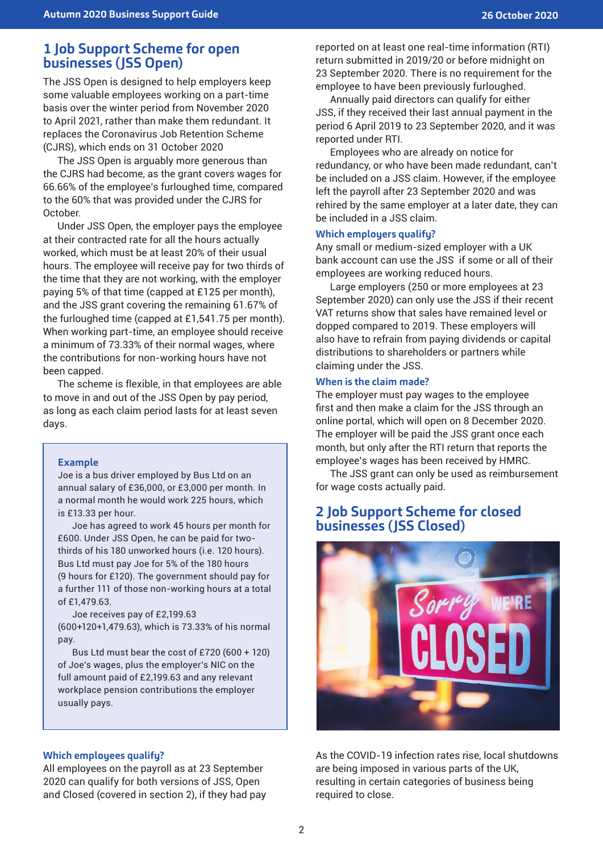## **1 Job Support Scheme for open businesses (JSS Open)**

The JSS Open is designed to help employers keep some valuable employees working on a part-time basis over the winter period from November 2020 to April 2021, rather than make them redundant. It replaces the Coronavirus Job Retention Scheme (CJRS), which ends on 31 October 2020

The JSS Open is arguably more generous than the CJRS had become, as the grant covers wages for 66.66% of the employee's furloughed time, compared to the 60% that was provided under the CJRS for October.

Under JSS Open, the employer pays the employee at their contracted rate for all the hours actually worked, which must be at least 20% of their usual hours. The employee will receive pay for two thirds of the time that they are not working, with the employer paying 5% of that time (capped at £125 per month), and the JSS grant covering the remaining 61.67% of the furloughed time (capped at £1,541.75 per month). When working part-time, an employee should receive a minimum of 73.33% of their normal wages, where the contributions for non-working hours have not been capped.

The scheme is flexible, in that employees are able to move in and out of the JSS Open by pay period, as long as each claim period lasts for at least seven days.

#### **Example**

Joe is a bus driver employed by Bus Ltd on an annual salary of £36,000, or £3,000 per month. In a normal month he would work 225 hours, which is £13.33 per hour.

Joe has agreed to work 45 hours per month for £600. Under JSS Open, he can be paid for twothirds of his 180 unworked hours (i.e. 120 hours). Bus Ltd must pay Joe for 5% of the 180 hours (9 hours for £120). The government should pay for a further 111 of those non-working hours at a total of £1,479.63.

Joe receives pay of £2,199.63 (600+120+1,479.63), which is 73.33% of his normal pay.

Bus Ltd must bear the cost of £720 (600 + 120) of Joe's wages, plus the employer's NIC on the full amount paid of £2,199.63 and any relevant workplace pension contributions the employer usually pays.

#### **Which employees qualify?**

All employees on the payroll as at 23 September 2020 can qualify for both versions of JSS, Open and Closed (covered in section 2), if they had pay reported on at least one real-time information (RTI) return submitted in 2019/20 or before midnight on 23 September 2020. There is no requirement for the employee to have been previously furloughed.

Annually paid directors can qualify for either JSS, if they received their last annual payment in the period 6 April 2019 to 23 September 2020, and it was reported under RTI.

Employees who are already on notice for redundancy, or who have been made redundant, can't be included on a JSS claim. However, if the employee left the payroll after 23 September 2020 and was rehired by the same employer at a later date, they can be included in a JSS claim.

#### **Which employers qualify?**

Any small or medium-sized employer with a UK bank account can use the JSS if some or all of their employees are working reduced hours.

Large employers (250 or more employees at 23 September 2020) can only use the JSS if their recent VAT returns show that sales have remained level or dopped compared to 2019. These employers will also have to refrain from paying dividends or capital distributions to shareholders or partners while claiming under the JSS.

#### **When is the claim made?**

The employer must pay wages to the employee first and then make a claim for the JSS through an online portal, which will open on 8 December 2020. The employer will be paid the JSS grant once each month, but only after the RTI return that reports the employee's wages has been received by HMRC.

The JSS grant can only be used as reimbursement for wage costs actually paid.

# **2 Job Support Scheme for closed businesses (JSS Closed)**



As the COVID-19 infection rates rise, local shutdowns are being imposed in various parts of the UK, resulting in certain categories of business being required to close.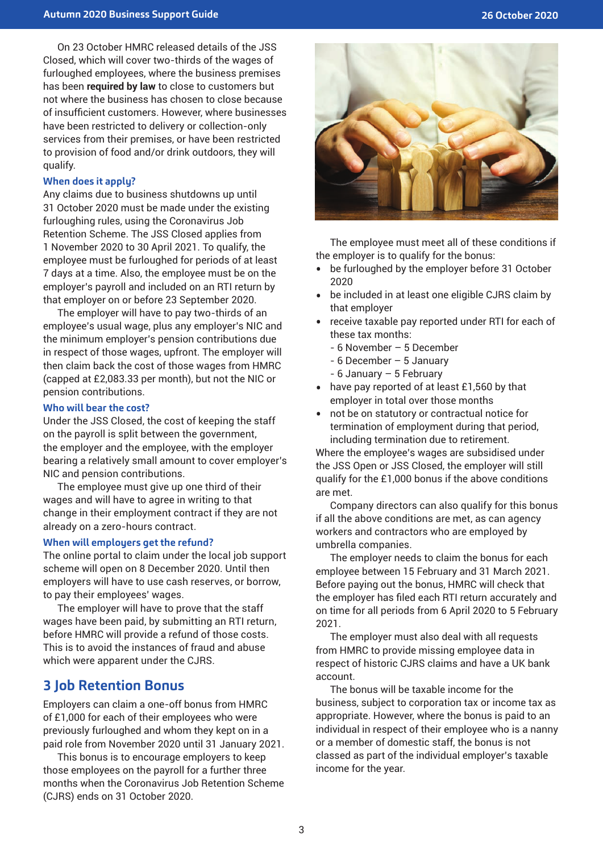On 23 October HMRC released details of the JSS Closed, which will cover two-thirds of the wages of furloughed employees, where the business premises has been **required by law** to close to customers but not where the business has chosen to close because of insufficient customers. However, where businesses have been restricted to delivery or collection-only services from their premises, or have been restricted to provision of food and/or drink outdoors, they will qualify.

#### **When does it apply?**

Any claims due to business shutdowns up until 31 October 2020 must be made under the existing furloughing rules, using the Coronavirus Job Retention Scheme. The JSS Closed applies from 1 November 2020 to 30 April 2021. To qualify, the employee must be furloughed for periods of at least 7 days at a time. Also, the employee must be on the employer's payroll and included on an RTI return by that employer on or before 23 September 2020.

The employer will have to pay two-thirds of an employee's usual wage, plus any employer's NIC and the minimum employer's pension contributions due in respect of those wages, upfront. The employer will then claim back the cost of those wages from HMRC (capped at £2,083.33 per month), but not the NIC or pension contributions.

#### **Who will bear the cost?**

Under the JSS Closed, the cost of keeping the staff on the payroll is split between the government, the employer and the employee, with the employer bearing a relatively small amount to cover employer's NIC and pension contributions.

The employee must give up one third of their wages and will have to agree in writing to that change in their employment contract if they are not already on a zero-hours contract.

#### **When will employers get the refund?**

The online portal to claim under the local job support scheme will open on 8 December 2020. Until then employers will have to use cash reserves, or borrow, to pay their employees' wages.

The employer will have to prove that the staff wages have been paid, by submitting an RTI return, before HMRC will provide a refund of those costs. This is to avoid the instances of fraud and abuse which were apparent under the CJRS.

#### **3 Job Retention Bonus**

Employers can claim a one-off bonus from HMRC of £1,000 for each of their employees who were previously furloughed and whom they kept on in a paid role from November 2020 until 31 January 2021.

This bonus is to encourage employers to keep those employees on the payroll for a further three months when the Coronavirus Job Retention Scheme (CJRS) ends on 31 October 2020.



The employee must meet all of these conditions if the employer is to qualify for the bonus:

- be furloughed by the employer before 31 October 2020
- be included in at least one eligible CJRS claim by that employer
- receive taxable pay reported under RTI for each of these tax months:
	- 6 November 5 December
	- 6 December 5 January
	- 6 January 5 February
- have pay reported of at least £1,560 by that employer in total over those months
- not be on statutory or contractual notice for termination of employment during that period, including termination due to retirement.

Where the employee's wages are subsidised under the JSS Open or JSS Closed, the employer will still qualify for the £1,000 bonus if the above conditions are met.

Company directors can also qualify for this bonus if all the above conditions are met, as can agency workers and contractors who are employed by umbrella companies.

The employer needs to claim the bonus for each employee between 15 February and 31 March 2021. Before paying out the bonus, HMRC will check that the employer has filed each RTI return accurately and on time for all periods from 6 April 2020 to 5 February 2021.

The employer must also deal with all requests from HMRC to provide missing employee data in respect of historic CJRS claims and have a UK bank account.

The bonus will be taxable income for the business, subject to corporation tax or income tax as appropriate. However, where the bonus is paid to an individual in respect of their employee who is a nanny or a member of domestic staff, the bonus is not classed as part of the individual employer's taxable income for the year.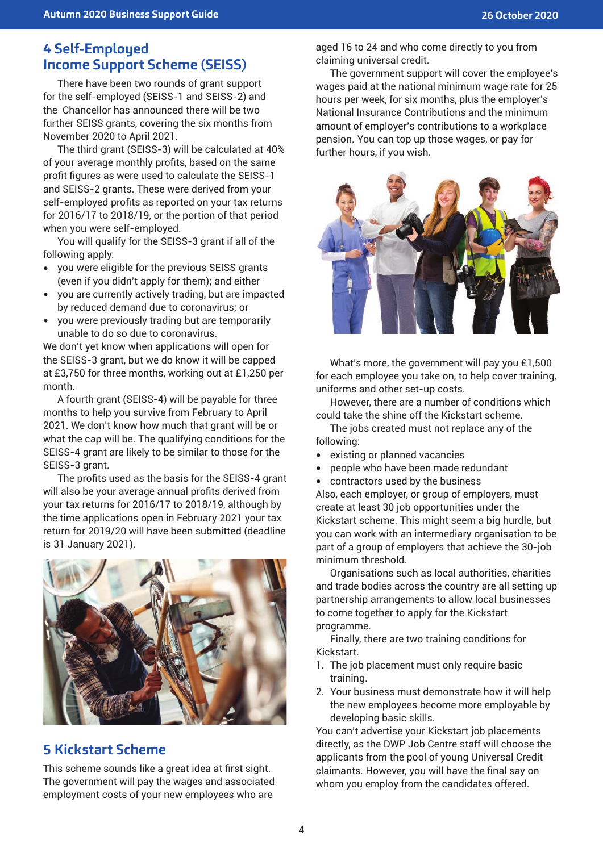# **4 Self-Employed Income Support Scheme (SEISS)**

There have been two rounds of grant support for the self-employed (SEISS-1 and SEISS-2) and the Chancellor has announced there will be two further SEISS grants, covering the six months from November 2020 to April 2021.

The third grant (SEISS-3) will be calculated at 40% of your average monthly profits, based on the same profit figures as were used to calculate the SEISS-1 and SEISS-2 grants. These were derived from your self-employed profits as reported on your tax returns for 2016/17 to 2018/19, or the portion of that period when you were self-employed.

You will qualify for the SEISS-3 grant if all of the following apply:

- you were eligible for the previous SEISS grants (even if you didn't apply for them); and either
- you are currently actively trading, but are impacted by reduced demand due to coronavirus; or
- you were previously trading but are temporarily unable to do so due to coronavirus.

We don't yet know when applications will open for the SEISS-3 grant, but we do know it will be capped at £3,750 for three months, working out at £1,250 per month.

A fourth grant (SEISS-4) will be payable for three months to help you survive from February to April 2021. We don't know how much that grant will be or what the cap will be. The qualifying conditions for the SEISS-4 grant are likely to be similar to those for the SEISS-3 grant.

The profits used as the basis for the SEISS-4 grant will also be your average annual profits derived from your tax returns for 2016/17 to 2018/19, although by the time applications open in February 2021 your tax return for 2019/20 will have been submitted (deadline is 31 January 2021).



# **5 Kickstart Scheme**

This scheme sounds like a great idea at first sight. The government will pay the wages and associated employment costs of your new employees who are

aged 16 to 24 and who come directly to you from claiming universal credit.

The government support will cover the employee's wages paid at the national minimum wage rate for 25 hours per week, for six months, plus the employer's National Insurance Contributions and the minimum amount of employer's contributions to a workplace pension. You can top up those wages, or pay for further hours, if you wish.



What's more, the government will pay you £1,500 for each employee you take on, to help cover training, uniforms and other set-up costs.

However, there are a number of conditions which could take the shine off the Kickstart scheme.

The jobs created must not replace any of the following:

- existing or planned vacancies<br>• neople who have been made re
- people who have been made redundant<br>• contractors used by the business
- contractors used by the business

Also, each employer, or group of employers, must create at least 30 job opportunities under the Kickstart scheme. This might seem a big hurdle, but you can work with an intermediary organisation to be part of a group of employers that achieve the 30-job minimum threshold.

Organisations such as local authorities, charities and trade bodies across the country are all setting up partnership arrangements to allow local businesses to come together to apply for the Kickstart programme.

Finally, there are two training conditions for Kickstart.

- 1. The job placement must only require basic training.
- 2. Your business must demonstrate how it will help the new employees become more employable by developing basic skills.

You can't advertise your Kickstart job placements directly, as the DWP Job Centre staff will choose the applicants from the pool of young Universal Credit claimants. However, you will have the final say on whom you employ from the candidates offered.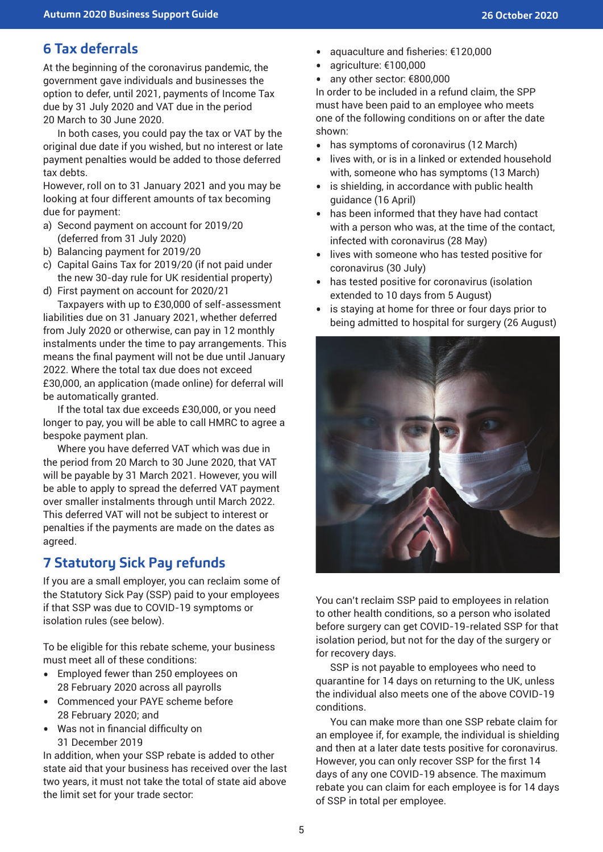# **6 Tax deferrals**

At the beginning of the coronavirus pandemic, the government gave individuals and businesses the option to defer, until 2021, payments of Income Tax due by 31 July 2020 and VAT due in the period 20 March to 30 June 2020.

In both cases, you could pay the tax or VAT by the original due date if you wished, but no interest or late payment penalties would be added to those deferred tax debts.

However, roll on to 31 January 2021 and you may be looking at four different amounts of tax becoming due for payment:

- a) Second payment on account for 2019/20 (deferred from 31 July 2020)
- b) Balancing payment for 2019/20
- c) Capital Gains Tax for 2019/20 (if not paid under the new 30-day rule for UK residential property)
- d) First payment on account for 2020/21

Taxpayers with up to £30,000 of self-assessment liabilities due on 31 January 2021, whether deferred from July 2020 or otherwise, can pay in 12 monthly instalments under the time to pay arrangements. This means the final payment will not be due until January 2022. Where the total tax due does not exceed £30,000, an application (made online) for deferral will be automatically granted.

If the total tax due exceeds £30,000, or you need longer to pay, you will be able to call HMRC to agree a bespoke payment plan.

Where you have deferred VAT which was due in the period from 20 March to 30 June 2020, that VAT will be payable by 31 March 2021. However, you will be able to apply to spread the deferred VAT payment over smaller instalments through until March 2022. This deferred VAT will not be subject to interest or penalties if the payments are made on the dates as agreed.

# **7 Statutory Sick Pay refunds**

If you are a small employer, you can reclaim some of the Statutory Sick Pay (SSP) paid to your employees if that SSP was due to COVID-19 symptoms or isolation rules (see below).

To be eligible for this rebate scheme, your business must meet all of these conditions:

- Employed fewer than 250 employees on 28 February 2020 across all payrolls
- Commenced your PAYE scheme before 28 February 2020; and
- Was not in financial difficulty on 31 December 2019

In addition, when your SSP rebate is added to other state aid that your business has received over the last two years, it must not take the total of state aid above the limit set for your trade sector:

- aquaculture and fisheries: €120,000
- agriculture: €100,000
- any other sector: €800,000

In order to be included in a refund claim, the SPP must have been paid to an employee who meets one of the following conditions on or after the date shown:

- has symptoms of coronavirus (12 March)
- lives with, or is in a linked or extended household with, someone who has symptoms (13 March)
- is shielding, in accordance with public health guidance (16 April)
- has been informed that they have had contact with a person who was, at the time of the contact, infected with coronavirus (28 May)
- lives with someone who has tested positive for coronavirus (30 July)
- has tested positive for coronavirus (isolation extended to 10 days from 5 August)
- is staying at home for three or four days prior to being admitted to hospital for surgery (26 August)



You can't reclaim SSP paid to employees in relation to other health conditions, so a person who isolated before surgery can get COVID-19-related SSP for that isolation period, but not for the day of the surgery or for recovery days.

SSP is not payable to employees who need to quarantine for 14 days on returning to the UK, unless the individual also meets one of the above COVID-19 conditions.

You can make more than one SSP rebate claim for an employee if, for example, the individual is shielding and then at a later date tests positive for coronavirus. However, you can only recover SSP for the first 14 days of any one COVID-19 absence. The maximum rebate you can claim for each employee is for 14 days of SSP in total per employee.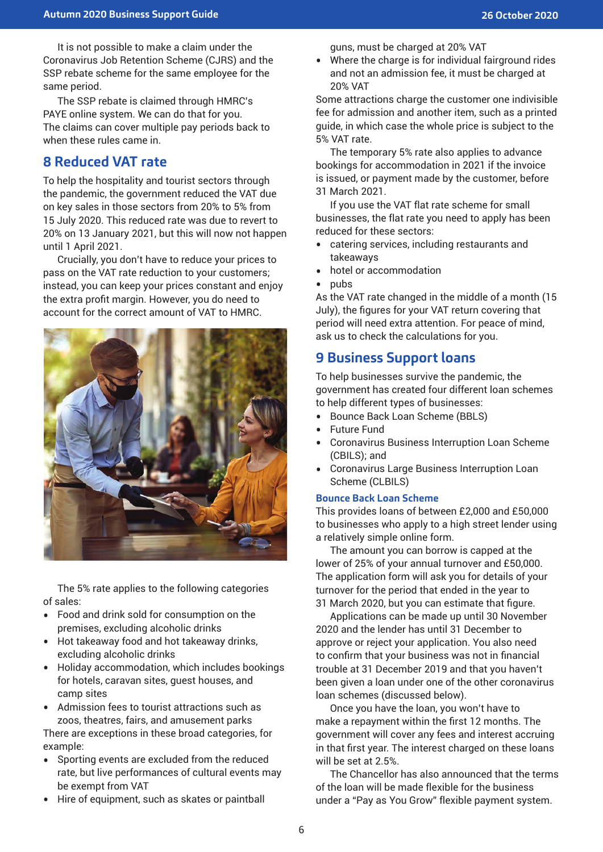It is not possible to make a claim under the Coronavirus Job Retention Scheme (CJRS) and the SSP rebate scheme for the same employee for the same period.

The SSP rebate is claimed through HMRC's PAYE online system. We can do that for you. The claims can cover multiple pay periods back to when these rules came in.

# **8 Reduced VAT rate**

To help the hospitality and tourist sectors through the pandemic, the government reduced the VAT due on key sales in those sectors from 20% to 5% from 15 July 2020. This reduced rate was due to revert to 20% on 13 January 2021, but this will now not happen until 1 April 2021.

Crucially, you don't have to reduce your prices to pass on the VAT rate reduction to your customers; instead, you can keep your prices constant and enjoy the extra profit margin. However, you do need to account for the correct amount of VAT to HMRC.



The 5% rate applies to the following categories of sales:

- Food and drink sold for consumption on the premises, excluding alcoholic drinks
- Hot takeaway food and hot takeaway drinks, excluding alcoholic drinks
- Holiday accommodation, which includes bookings for hotels, caravan sites, guest houses, and camp sites
- Admission fees to tourist attractions such as zoos, theatres, fairs, and amusement parks There are exceptions in these broad categories, for example:
- Sporting events are excluded from the reduced rate, but live performances of cultural events may be exempt from VAT
- Hire of equipment, such as skates or paintball

guns, must be charged at 20% VAT

• Where the charge is for individual fairground rides and not an admission fee, it must be charged at 20% VAT

Some attractions charge the customer one indivisible fee for admission and another item, such as a printed guide, in which case the whole price is subject to the 5% VAT rate.

The temporary 5% rate also applies to advance bookings for accommodation in 2021 if the invoice is issued, or payment made by the customer, before 31 March 2021.

If you use the VAT flat rate scheme for small businesses, the flat rate you need to apply has been reduced for these sectors:

- catering services, including restaurants and takeaways
- hotel or accommodation
- pubs

As the VAT rate changed in the middle of a month (15 July), the figures for your VAT return covering that period will need extra attention. For peace of mind, ask us to check the calculations for you.

# **9 Business Support loans**

To help businesses survive the pandemic, the government has created four different loan schemes to help different types of businesses:

- Bounce Back Loan Scheme (BBLS)
- Future Fund
- Coronavirus Business Interruption Loan Scheme (CBILS); and
- Coronavirus Large Business Interruption Loan Scheme (CLBILS)

#### **Bounce Back Loan Scheme**

This provides loans of between £2,000 and £50,000 to businesses who apply to a high street lender using a relatively simple online form.

The amount you can borrow is capped at the lower of 25% of your annual turnover and £50,000. The application form will ask you for details of your turnover for the period that ended in the year to 31 March 2020, but you can estimate that figure.

Applications can be made up until 30 November 2020 and the lender has until 31 December to approve or reject your application. You also need to confirm that your business was not in financial trouble at 31 December 2019 and that you haven't been given a loan under one of the other coronavirus loan schemes (discussed below).

Once you have the loan, you won't have to make a repayment within the first 12 months. The government will cover any fees and interest accruing in that first year. The interest charged on these loans will be set at 2.5%

The Chancellor has also announced that the terms of the loan will be made flexible for the business under a "Pay as You Grow" flexible payment system.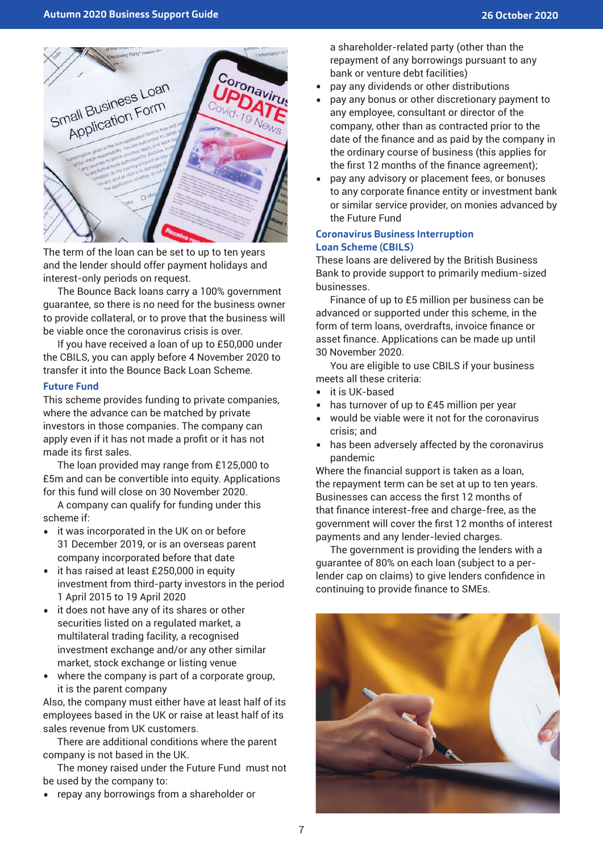

The term of the loan can be set to up to ten years and the lender should offer payment holidays and interest-only periods on request.

The Bounce Back loans carry a 100% government guarantee, so there is no need for the business owner to provide collateral, or to prove that the business will be viable once the coronavirus crisis is over.

If you have received a loan of up to £50,000 under the CBILS, you can apply before 4 November 2020 to transfer it into the Bounce Back Loan Scheme.

#### **Future Fund**

This scheme provides funding to private companies, where the advance can be matched by private investors in those companies. The company can apply even if it has not made a profit or it has not made its first sales.

The loan provided may range from £125,000 to £5m and can be convertible into equity. Applications for this fund will close on 30 November 2020.

A company can qualify for funding under this scheme if:

- it was incorporated in the UK on or before 31 December 2019, or is an overseas parent company incorporated before that date
- it has raised at least £250,000 in equity investment from third-party investors in the period 1 April 2015 to 19 April 2020
- it does not have any of its shares or other securities listed on a regulated market, a multilateral trading facility, a recognised investment exchange and/or any other similar market, stock exchange or listing venue
- where the company is part of a corporate group, it is the parent company

Also, the company must either have at least half of its employees based in the UK or raise at least half of its sales revenue from UK customers.

There are additional conditions where the parent company is not based in the UK.

The money raised under the Future Fund must not be used by the company to:

• repay any borrowings from a shareholder or

a shareholder-related party (other than the repayment of any borrowings pursuant to any bank or venture debt facilities)

- pay any dividends or other distributions
- pay any bonus or other discretionary payment to any employee, consultant or director of the company, other than as contracted prior to the date of the finance and as paid by the company in the ordinary course of business (this applies for the first 12 months of the finance agreement);
- pay any advisory or placement fees, or bonuses to any corporate finance entity or investment bank or similar service provider, on monies advanced by the Future Fund

#### **Coronavirus Business Interruption Loan Scheme (CBILS)**

These loans are delivered by the British Business Bank to provide support to primarily medium-sized businesses.

Finance of up to £5 million per business can be advanced or supported under this scheme, in the form of term loans, overdrafts, invoice finance or asset finance. Applications can be made up until 30 November 2020.

You are eligible to use CBILS if your business meets all these criteria:

- it is UK-based
- has turnover of up to £45 million per year
- would be viable were it not for the coronavirus crisis; and
- has been adversely affected by the coronavirus pandemic

Where the financial support is taken as a loan, the repayment term can be set at up to ten years. Businesses can access the first 12 months of that finance interest-free and charge-free, as the government will cover the first 12 months of interest payments and any lender-levied charges.

The government is providing the lenders with a guarantee of 80% on each loan (subject to a perlender cap on claims) to give lenders confidence in continuing to provide finance to SMEs.

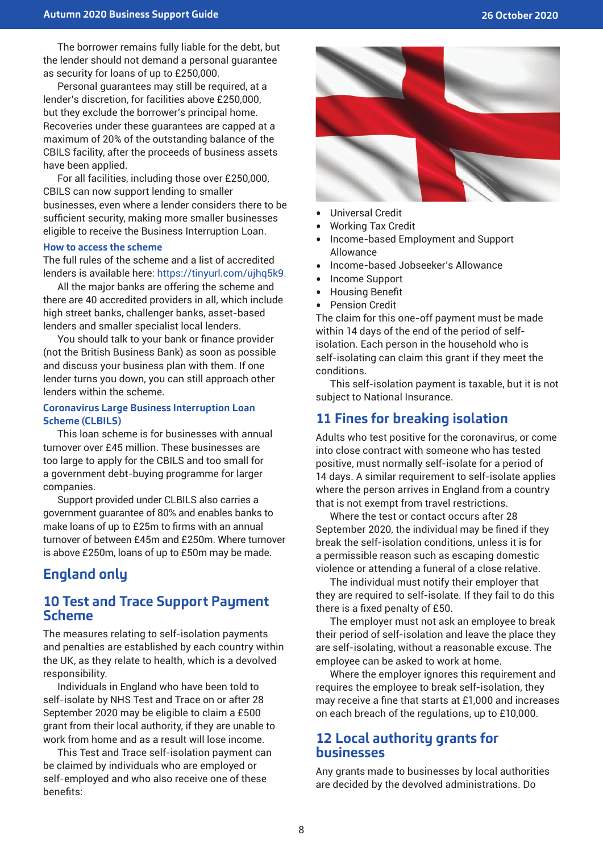The borrower remains fully liable for the debt, but the lender should not demand a personal guarantee as security for loans of up to £250,000.

Personal guarantees may still be required, at a lender's discretion, for facilities above £250,000, but they exclude the borrower's principal home. Recoveries under these guarantees are capped at a maximum of 20% of the outstanding balance of the CBILS facility, after the proceeds of business assets have been applied.

For all facilities, including those over £250,000, CBILS can now support lending to smaller businesses, even where a lender considers there to be sufficient security, making more smaller businesses eligible to receive the Business Interruption Loan.

#### **How to access the scheme**

The full rules of the scheme and a list of accredited lenders is available here: https://tinyurl.com/ujhq5k9.

All the major banks are offering the scheme and there are 40 accredited providers in all, which include high street banks, challenger banks, asset-based lenders and smaller specialist local lenders.

You should talk to your bank or finance provider (not the British Business Bank) as soon as possible and discuss your business plan with them. If one lender turns you down, you can still approach other lenders within the scheme.

#### **Coronavirus Large Business Interruption Loan Scheme (CLBILS)**

This loan scheme is for businesses with annual turnover over £45 million. These businesses are too large to apply for the CBILS and too small for a government debt-buying programme for larger companies.

Support provided under CLBILS also carries a government guarantee of 80% and enables banks to make loans of up to £25m to firms with an annual turnover of between £45m and £250m. Where turnover is above £250m, loans of up to £50m may be made.

# **England only**

### **10 Test and Trace Support Payment Scheme**

The measures relating to self-isolation payments and penalties are established by each country within the UK, as they relate to health, which is a devolved responsibility.

Individuals in England who have been told to self-isolate by NHS Test and Trace on or after 28 September 2020 may be eligible to claim a £500 grant from their local authority, if they are unable to work from home and as a result will lose income.

This Test and Trace self-isolation payment can be claimed by individuals who are employed or self-employed and who also receive one of these benefits:



- Universal Credit
- Working Tax Credit
- Income-based Employment and Support Allowance
- Income-based Jobseeker's Allowance
- Income Support<br>• Housing Benefit
- Housing Benefit
- Pension Credit

The claim for this one-off payment must be made within 14 days of the end of the period of selfisolation. Each person in the household who is self-isolating can claim this grant if they meet the conditions.

This self-isolation payment is taxable, but it is not subject to National Insurance.

# **11 Fines for breaking isolation**

Adults who test positive for the coronavirus, or come into close contract with someone who has tested positive, must normally self-isolate for a period of 14 days. A similar requirement to self-isolate applies where the person arrives in England from a country that is not exempt from travel restrictions.

Where the test or contact occurs after 28 September 2020, the individual may be fined if they break the self-isolation conditions, unless it is for a permissible reason such as escaping domestic violence or attending a funeral of a close relative.

The individual must notify their employer that they are required to self-isolate. If they fail to do this there is a fixed penalty of £50.

The employer must not ask an employee to break their period of self-isolation and leave the place they are self-isolating, without a reasonable excuse. The employee can be asked to work at home.

Where the employer ignores this requirement and requires the employee to break self-isolation, they may receive a fine that starts at £1,000 and increases on each breach of the regulations, up to £10,000.

### **12 Local authority grants for businesses**

Any grants made to businesses by local authorities are decided by the devolved administrations. Do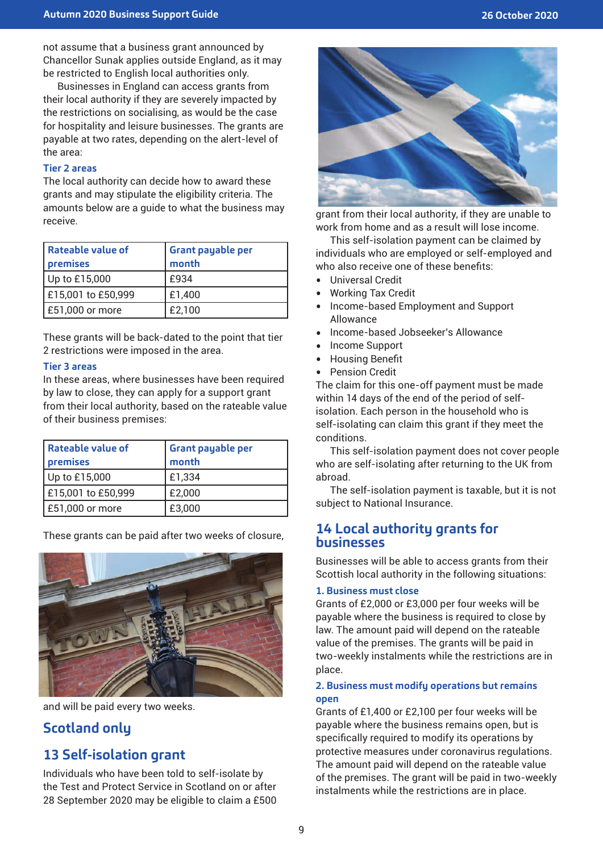not assume that a business grant announced by Chancellor Sunak applies outside England, as it may be restricted to English local authorities only.

Businesses in England can access grants from their local authority if they are severely impacted by the restrictions on socialising, as would be the case for hospitality and leisure businesses. The grants are payable at two rates, depending on the alert-level of the area:

#### **Tier 2 areas**

The local authority can decide how to award these grants and may stipulate the eligibility criteria. The amounts below are a guide to what the business may receive.

| l Rateable value of<br>premises | <b>Grant payable per</b><br>month |
|---------------------------------|-----------------------------------|
| Up to £15,000                   | £934                              |
| E15,001 to £50,999              | £1,400                            |
| £51,000 or more                 | £2,100                            |

These grants will be back-dated to the point that tier 2 restrictions were imposed in the area.

#### **Tier 3 areas**

In these areas, where businesses have been required by law to close, they can apply for a support grant from their local authority, based on the rateable value of their business premises:

| Rateable value of<br>premises | <b>Grant payable per</b><br>month |
|-------------------------------|-----------------------------------|
| Up to £15,000                 | £1,334                            |
| £15,001 to £50,999            | £2,000                            |
| £51,000 or more               | £3,000                            |

These grants can be paid after two weeks of closure,



and will be paid every two weeks.

# **Scotland only**

# **13 Self-isolation grant**

Individuals who have been told to self-isolate by the Test and Protect Service in Scotland on or after 28 September 2020 may be eligible to claim a £500



grant from their local authority, if they are unable to work from home and as a result will lose income.

This self-isolation payment can be claimed by individuals who are employed or self-employed and who also receive one of these benefits:

- Universal Credit
- Working Tax Credit
- Income-based Employment and Support Allowance
- Income-based Jobseeker's Allowance
- Income Support<br>• Housing Benefit
- Housing Benefit
- Pension Credit

The claim for this one-off payment must be made within 14 days of the end of the period of selfisolation. Each person in the household who is self-isolating can claim this grant if they meet the conditions.

This self-isolation payment does not cover people who are self-isolating after returning to the UK from abroad.

The self-isolation payment is taxable, but it is not subject to National Insurance.

### **14 Local authority grants for businesses**

Businesses will be able to access grants from their Scottish local authority in the following situations:

#### **1. Business must close**

Grants of £2,000 or £3,000 per four weeks will be payable where the business is required to close by law. The amount paid will depend on the rateable value of the premises. The grants will be paid in two-weekly instalments while the restrictions are in place.

#### **2. Business must modify operations but remains open**

Grants of £1,400 or £2,100 per four weeks will be payable where the business remains open, but is specifically required to modify its operations by protective measures under coronavirus regulations. The amount paid will depend on the rateable value of the premises. The grant will be paid in two-weekly instalments while the restrictions are in place.